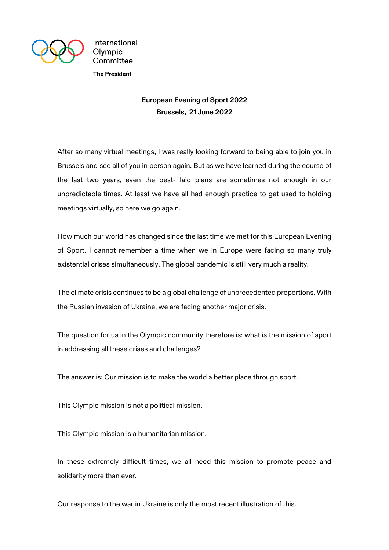

International Olympic Committee **The President** 

> **European Evening of Sport 2022 Brussels, 21 June 2022**

After so many virtual meetings, I was really looking forward to being able to join you in Brussels and see all of you in person again. But as we have learned during the course of the last two years, even the best- laid plans are sometimes not enough in our unpredictable times. At least we have all had enough practice to get used to holding meetings virtually, so here we go again.

How much our world has changed since the last time we met for this European Evening of Sport. I cannot remember a time when we in Europe were facing so many truly existential crises simultaneously. The global pandemic is still very much a reality.

The climate crisis continues to be a global challenge of unprecedented proportions. With the Russian invasion of Ukraine, we are facing another major crisis.

The question for us in the Olympic community therefore is: what is the mission of sport in addressing all these crises and challenges?

The answer is: Our mission is to make the world a better place through sport.

This Olympic mission is not a political mission.

This Olympic mission is a humanitarian mission.

In these extremely difficult times, we all need this mission to promote peace and solidarity more than ever.

Our response to the war in Ukraine is only the most recent illustration of this.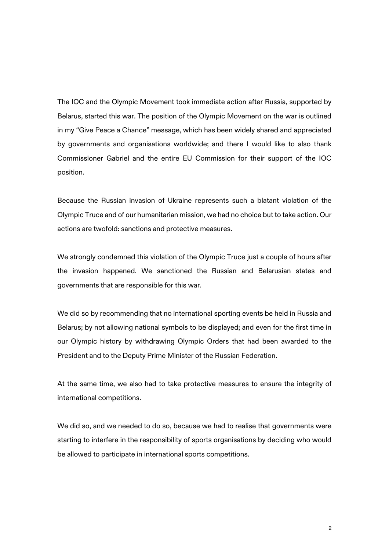The IOC and the Olympic Movement took immediate action after Russia, supported by Belarus, started this war. The position of the Olympic Movement on the war is outlined in my "Give Peace a Chance" message, which has been widely shared and appreciated by governments and organisations worldwide; and there I would like to also thank Commissioner Gabriel and the entire EU Commission for their support of the IOC position.

Because the Russian invasion of Ukraine represents such a blatant violation of the Olympic Truce and of our humanitarian mission, we had no choice but to take action. Our actions are twofold: sanctions and protective measures.

We strongly condemned this violation of the Olympic Truce just a couple of hours after the invasion happened. We sanctioned the Russian and Belarusian states and governments that are responsible for this war.

We did so by recommending that no international sporting events be held in Russia and Belarus; by not allowing national symbols to be displayed; and even for the first time in our Olympic history by withdrawing Olympic Orders that had been awarded to the President and to the Deputy Prime Minister of the Russian Federation.

At the same time, we also had to take protective measures to ensure the integrity of international competitions.

We did so, and we needed to do so, because we had to realise that governments were starting to interfere in the responsibility of sports organisations by deciding who would be allowed to participate in international sports competitions.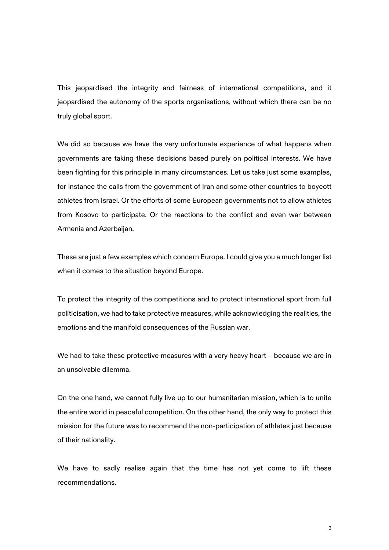This jeopardised the integrity and fairness of international competitions, and it jeopardised the autonomy of the sports organisations, without which there can be no truly global sport.

We did so because we have the very unfortunate experience of what happens when governments are taking these decisions based purely on political interests. We have been fighting for this principle in many circumstances. Let us take just some examples, for instance the calls from the government of Iran and some other countries to boycott athletes from Israel. Or the efforts of some European governments not to allow athletes from Kosovo to participate. Or the reactions to the conflict and even war between Armenia and Azerbaijan.

These are just a few examples which concern Europe. I could give you a much longer list when it comes to the situation beyond Europe.

To protect the integrity of the competitions and to protect international sport from full politicisation, we had to take protective measures, while acknowledging the realities, the emotions and the manifold consequences of the Russian war.

We had to take these protective measures with a very heavy heart – because we are in an unsolvable dilemma.

On the one hand, we cannot fully live up to our humanitarian mission, which is to unite the entire world in peaceful competition. On the other hand, the only way to protect this mission for the future was to recommend the non-participation of athletes just because of their nationality.

We have to sadly realise again that the time has not yet come to lift these recommendations.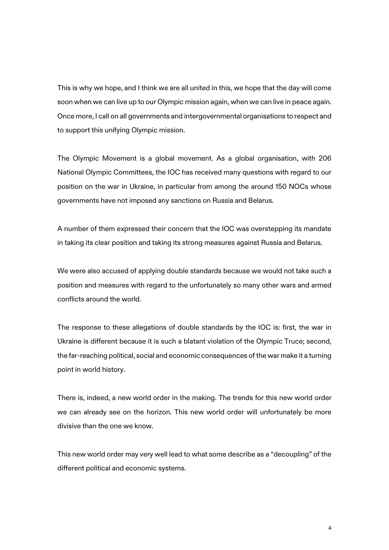This is why we hope, and I think we are all united in this, we hope that the day will come soon when we can live up to our Olympic mission again, when we can live in peace again. Once more, I call on all governments and intergovernmental organisations to respect and to support this unifying Olympic mission.

The Olympic Movement is a global movement. As a global organisation, with 206 National Olympic Committees, the IOC has received many questions with regard to our position on the war in Ukraine, in particular from among the around 150 NOCs whose governments have not imposed any sanctions on Russia and Belarus.

A number of them expressed their concern that the IOC was overstepping its mandate in taking its clear position and taking its strong measures against Russia and Belarus.

We were also accused of applying double standards because we would not take such a position and measures with regard to the unfortunately so many other wars and armed conflicts around the world.

The response to these allegations of double standards by the IOC is: first, the war in Ukraine is different because it is such a blatant violation of the Olympic Truce; second, the far-reaching political, social and economic consequences of the war make it a turning point in world history.

There is, indeed, a new world order in the making. The trends for this new world order we can already see on the horizon. This new world order will unfortunately be more divisive than the one we know.

This new world order may very well lead to what some describe as a "decoupling" of the different political and economic systems.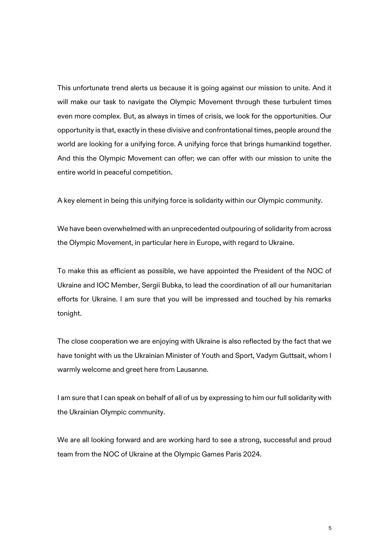This unfortunate trend alerts us because it is going against our mission to unite. And it will make our task to navigate the Olympic Movement through these turbulent times even more complex. But, as always in times of crisis, we look for the opportunities. Our opportunity is that, exactly in these divisive and confrontational times, people around the world are looking for a unifying force. A unifying force that brings humankind together. And this the Olympic Movement can offer; we can offer with our mission to unite the entire world in peaceful competition.

A key element in being this unifying force is solidarity within our Olympic community.

We have been overwhelmed with an unprecedented outpouring of solidarity from across the Olympic Movement, in particular here in Europe, with regard to Ukraine.

To make this as efficient as possible, we have appointed the President of the NOC of Ukraine and IOC Member, Sergii Bubka, to lead the coordination of all our humanitarian efforts for Ukraine. I am sure that you will be impressed and touched by his remarks tonight.

The close cooperation we are enjoying with Ukraine is also reflected by the fact that we have tonight with us the Ukrainian Minister of Youth and Sport, Vadym Guttsait, whom I warmly welcome and greet here from Lausanne.

I am sure that I can speak on behalf of all of us by expressing to him our full solidarity with the Ukrainian Olympic community.

We are all looking forward and are working hard to see a strong, successful and proud team from the NOC of Ukraine at the Olympic Games Paris 2024.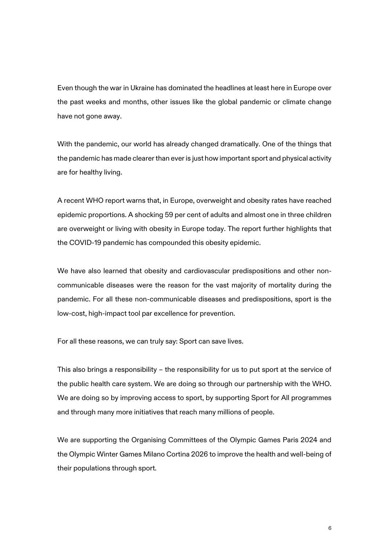Even though the war in Ukraine has dominated the headlines at least here in Europe over the past weeks and months, other issues like the global pandemic or climate change have not gone away.

With the pandemic, our world has already changed dramatically. One of the things that the pandemic has made clearer than ever is just how important sport and physical activity are for healthy living.

A recent WHO report warns that, in Europe, overweight and obesity rates have reached epidemic proportions. A shocking 59 per cent of adults and almost one in three children are overweight or living with obesity in Europe today. The report further highlights that the COVID-19 pandemic has compounded this obesity epidemic.

We have also learned that obesity and cardiovascular predispositions and other noncommunicable diseases were the reason for the vast majority of mortality during the pandemic. For all these non-communicable diseases and predispositions, sport is the low-cost, high-impact tool par excellence for prevention.

For all these reasons, we can truly say: Sport can save lives.

This also brings a responsibility – the responsibility for us to put sport at the service of the public health care system. We are doing so through our partnership with the WHO. We are doing so by improving access to sport, by supporting Sport for All programmes and through many more initiatives that reach many millions of people.

We are supporting the Organising Committees of the Olympic Games Paris 2024 and the Olympic Winter Games Milano Cortina 2026 to improve the health and well-being of their populations through sport.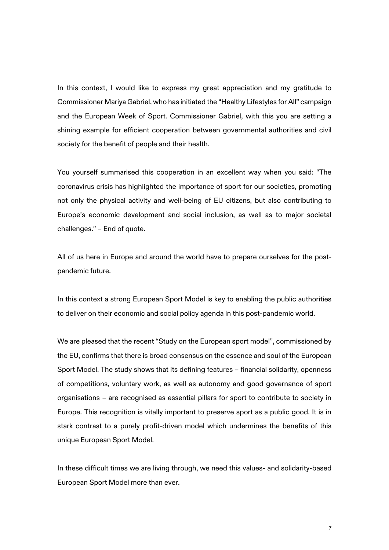In this context, I would like to express my great appreciation and my gratitude to Commissioner Mariya Gabriel, who has initiated the "Healthy Lifestyles for All" campaign and the European Week of Sport. Commissioner Gabriel, with this you are setting a shining example for efficient cooperation between governmental authorities and civil society for the benefit of people and their health.

You yourself summarised this cooperation in an excellent way when you said: "The coronavirus crisis has highlighted the importance of sport for our societies, promoting not only the physical activity and well-being of EU citizens, but also contributing to Europe's economic development and social inclusion, as well as to major societal challenges." – End of quote.

All of us here in Europe and around the world have to prepare ourselves for the postpandemic future.

In this context a strong European Sport Model is key to enabling the public authorities to deliver on their economic and social policy agenda in this post-pandemic world.

We are pleased that the recent "Study on the European sport model", commissioned by the EU, confirms that there is broad consensus on the essence and soul of the European Sport Model. The study shows that its defining features – financial solidarity, openness of competitions, voluntary work, as well as autonomy and good governance of sport organisations – are recognised as essential pillars for sport to contribute to society in Europe. This recognition is vitally important to preserve sport as a public good. It is in stark contrast to a purely profit-driven model which undermines the benefits of this unique European Sport Model.

In these difficult times we are living through, we need this values- and solidarity-based European Sport Model more than ever.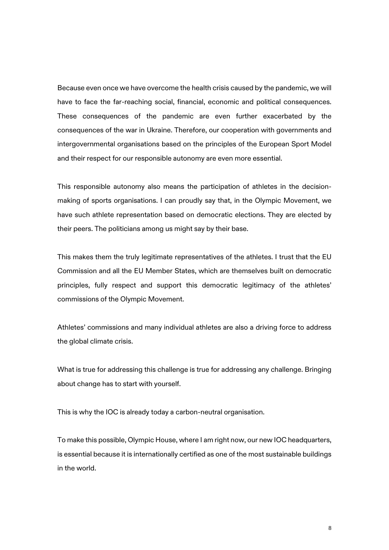Because even once we have overcome the health crisis caused by the pandemic, we will have to face the far-reaching social, financial, economic and political consequences. These consequences of the pandemic are even further exacerbated by the consequences of the war in Ukraine. Therefore, our cooperation with governments and intergovernmental organisations based on the principles of the European Sport Model and their respect for our responsible autonomy are even more essential.

This responsible autonomy also means the participation of athletes in the decisionmaking of sports organisations. I can proudly say that, in the Olympic Movement, we have such athlete representation based on democratic elections. They are elected by their peers. The politicians among us might say by their base.

This makes them the truly legitimate representatives of the athletes. I trust that the EU Commission and all the EU Member States, which are themselves built on democratic principles, fully respect and support this democratic legitimacy of the athletes' commissions of the Olympic Movement.

Athletes' commissions and many individual athletes are also a driving force to address the global climate crisis.

What is true for addressing this challenge is true for addressing any challenge. Bringing about change has to start with yourself.

This is why the IOC is already today a carbon-neutral organisation.

To make this possible, Olympic House, where I am right now, our new IOC headquarters, is essential because it is internationally certified as one of the most sustainable buildings in the world.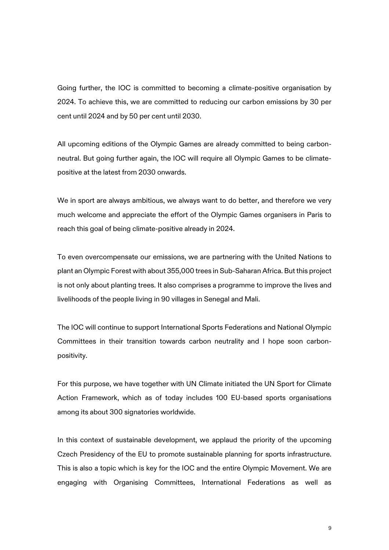Going further, the IOC is committed to becoming a climate-positive organisation by 2024. To achieve this, we are committed to reducing our carbon emissions by 30 per cent until 2024 and by 50 per cent until 2030.

All upcoming editions of the Olympic Games are already committed to being carbonneutral. But going further again, the IOC will require all Olympic Games to be climatepositive at the latest from 2030 onwards.

We in sport are always ambitious, we always want to do better, and therefore we very much welcome and appreciate the effort of the Olympic Games organisers in Paris to reach this goal of being climate-positive already in 2024.

To even overcompensate our emissions, we are partnering with the United Nations to plant an Olympic Forest with about 355,000 trees in Sub-Saharan Africa. But this project is not only about planting trees. It also comprises a programme to improve the lives and livelihoods of the people living in 90 villages in Senegal and Mali.

The IOC will continue to support International Sports Federations and National Olympic Committees in their transition towards carbon neutrality and I hope soon carbonpositivity.

For this purpose, we have together with UN Climate initiated the UN Sport for Climate Action Framework, which as of today includes 100 EU-based sports organisations among its about 300 signatories worldwide.

In this context of sustainable development, we applaud the priority of the upcoming Czech Presidency of the EU to promote sustainable planning for sports infrastructure. This is also a topic which is key for the IOC and the entire Olympic Movement. We are engaging with Organising Committees, International Federations as well as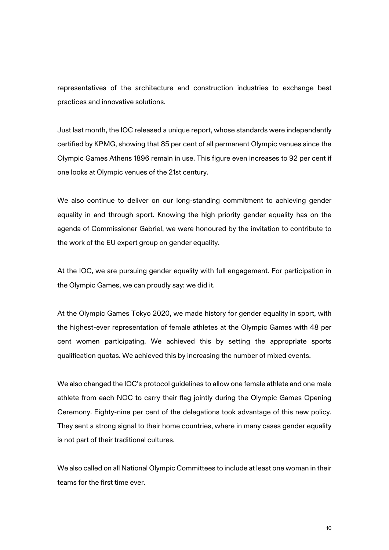representatives of the architecture and construction industries to exchange best practices and innovative solutions.

Just last month, the IOC released a unique report, whose standards were independently certified by KPMG, showing that 85 per cent of all permanent Olympic venues since the Olympic Games Athens 1896 remain in use. This figure even increases to 92 per cent if one looks at Olympic venues of the 21st century.

We also continue to deliver on our long-standing commitment to achieving gender equality in and through sport. Knowing the high priority gender equality has on the agenda of Commissioner Gabriel, we were honoured by the invitation to contribute to the work of the EU expert group on gender equality.

At the IOC, we are pursuing gender equality with full engagement. For participation in the Olympic Games, we can proudly say: we did it.

At the Olympic Games Tokyo 2020, we made history for gender equality in sport, with the highest-ever representation of female athletes at the Olympic Games with 48 per cent women participating. We achieved this by setting the appropriate sports qualification quotas. We achieved this by increasing the number of mixed events.

We also changed the IOC's protocol guidelines to allow one female athlete and one male athlete from each NOC to carry their flag jointly during the Olympic Games Opening Ceremony. Eighty-nine per cent of the delegations took advantage of this new policy. They sent a strong signal to their home countries, where in many cases gender equality is not part of their traditional cultures.

We also called on all National Olympic Committees to include at least one woman in their teams for the first time ever.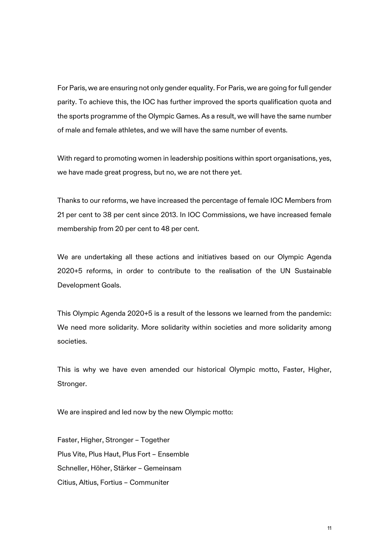For Paris, we are ensuring not only gender equality. For Paris, we are going for full gender parity. To achieve this, the IOC has further improved the sports qualification quota and the sports programme of the Olympic Games. As a result, we will have the same number of male and female athletes, and we will have the same number of events.

With regard to promoting women in leadership positions within sport organisations, yes, we have made great progress, but no, we are not there yet.

Thanks to our reforms, we have increased the percentage of female IOC Members from 21 per cent to 38 per cent since 2013. In IOC Commissions, we have increased female membership from 20 per cent to 48 per cent.

We are undertaking all these actions and initiatives based on our Olympic Agenda 2020+5 reforms, in order to contribute to the realisation of the UN Sustainable Development Goals.

This Olympic Agenda 2020+5 is a result of the lessons we learned from the pandemic: We need more solidarity. More solidarity within societies and more solidarity among societies.

This is why we have even amended our historical Olympic motto, Faster, Higher, Stronger.

We are inspired and led now by the new Olympic motto:

Faster, Higher, Stronger – Together Plus Vite, Plus Haut, Plus Fort – Ensemble Schneller, Höher, Stärker – Gemeinsam Citius, Altius, Fortius – Communiter